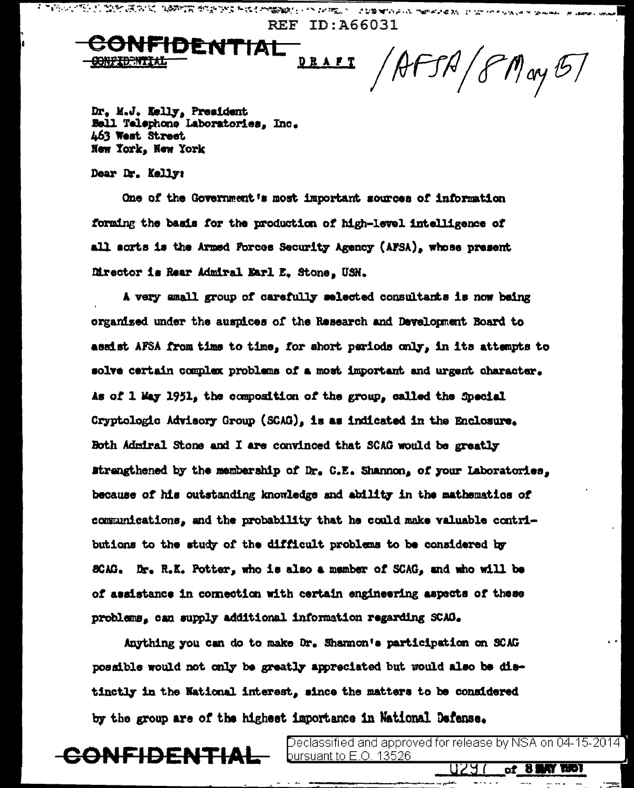**REF ID:A66031 IDENTIAL** AFSA/8May 57 <u>D R A F T</u>

医阿尔伯氏试验检尿道检查 医心包 化分子分析 电反射电子 医不能不能不能发生 医牙骨下的 计数据 医阿尔伯氏征 医中央性骨折 化二乙基 医牙齿的 医单位

Dr, M.J. Kelly, President<br>Bell Telephone Laboratories, Inc. 463 West Street New York, New York

Dear Dr. Kelly:

One of the Government's most important sources of information forming the basis for the production of high-level intelligence of all sorts is the Armed Forces Security Agency (AFSA), whose present Director is Rear Admiral Earl E. Stone. USN.

A very small group of carefully selected consultants is now being organized under the auspices of the Research and Development Board to assist AFSA from time to time, for short periods only, in its attempts to solve certain complex problems of a most important and urgent character. As of 1 May 1951, the composition of the group, called the Special Cryptologic Advisory Group (SCAG), is as indicated in the Enclosure. Both Admiral Stone and I are convinced that SCAG would be greatly strengthened by the membership of Dr. C.E. Shannon, of your Laboratories. because of his outstanding knowledge and ability in the mathematics of communications, and the probability that he could make valuable contributions to the study of the difficult problems to be considered by SCAG. Dr. R.K. Potter, who is also a member of SCAG, and who will be of assistance in connection with certain engineering aspects of these problems, can supply additional information regarding SCAO.

Anything you can do to make Dr. Sharmon's participation on SCAG possible would not only be greatly appreciated but would also be distinctly in the National interest, since the matters to be considered by the group are of the highest importance in National Defense.



Declassified and approved for release by NSA on 04-15-2014 i <u>pursuant to E.O. 13526.</u>

U29.

**KY ROT** 

of 81